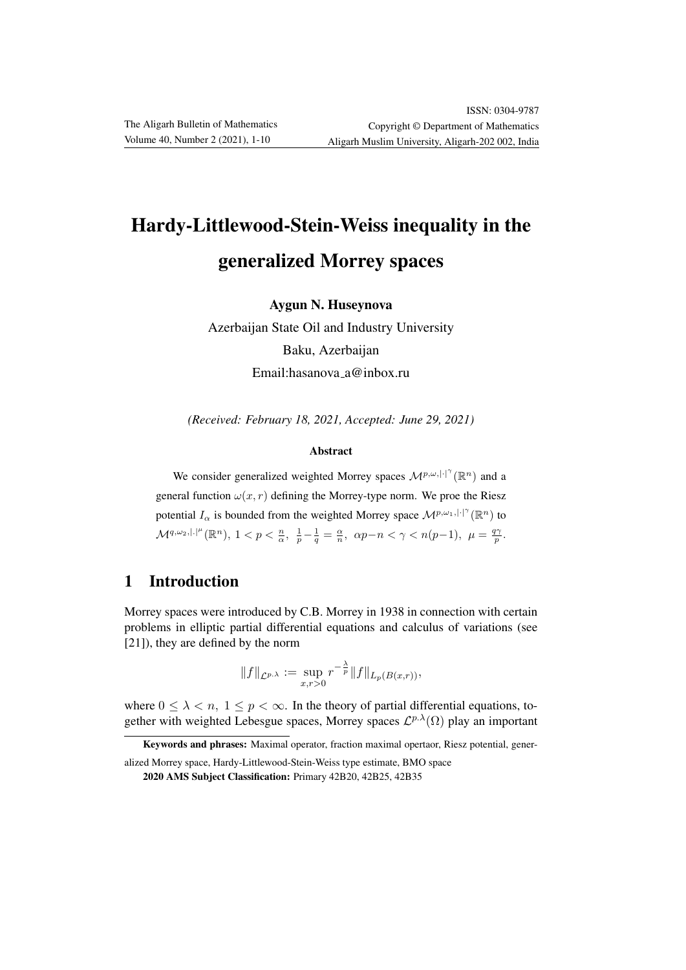# Hardy-Littlewood-Stein-Weiss inequality in the generalized Morrey spaces

Aygun N. Huseynova

Azerbaijan State Oil and Industry University Baku, Azerbaijan Email:hasanova a@inbox.ru

*(Received: February 18, 2021, Accepted: June 29, 2021)*

#### Abstract

We consider generalized weighted Morrey spaces  $\mathcal{M}^{p,\omega,|\cdot|^{\gamma}}(\mathbb{R}^n)$  and a general function  $\omega(x, r)$  defining the Morrey-type norm. We proe the Riesz potential  $I_{\alpha}$  is bounded from the weighted Morrey space  $\mathcal{M}^{p,\omega_1,|\cdot|^{\gamma}}(\mathbb{R}^n)$  to  $\mathcal{M}^{q,\omega_2,|\cdot|^\mu}(\mathbb{R}^n), 1 < p < \frac{n}{\alpha}, \ \ \frac{1}{p} - \frac{1}{q} = \frac{\alpha}{n}, \ \ \alpha p - n < \gamma < n(p-1), \ \ \mu = \frac{q\gamma}{p}.$ 

### 1 Introduction

Morrey spaces were introduced by C.B. Morrey in 1938 in connection with certain problems in elliptic partial differential equations and calculus of variations (see [21]), they are defined by the norm

$$
||f||_{\mathcal{L}^{p,\lambda}} := \sup_{x,r>0} r^{-\frac{\lambda}{p}} ||f||_{L_p(B(x,r))},
$$

where  $0 \leq \lambda < n$ ,  $1 \leq p < \infty$ . In the theory of partial differential equations, together with weighted Lebesgue spaces, Morrey spaces  $\mathcal{L}^{p,\lambda}(\Omega)$  play an important

Keywords and phrases: Maximal operator, fraction maximal opertaor, Riesz potential, gener-

alized Morrey space, Hardy-Littlewood-Stein-Weiss type estimate, BMO space

<sup>2020</sup> AMS Subject Classification: Primary 42B20, 42B25, 42B35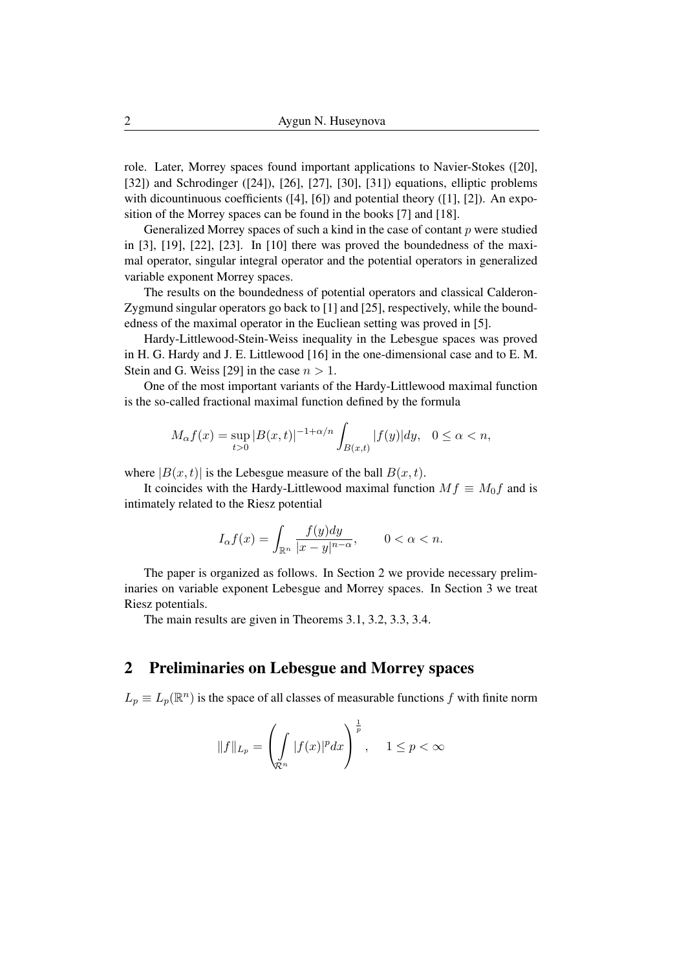role. Later, Morrey spaces found important applications to Navier-Stokes ([20], [32]) and Schrodinger ([24]), [26], [27], [30], [31]) equations, elliptic problems with dicountinuous coefficients ([4], [6]) and potential theory ([1], [2]). An exposition of the Morrey spaces can be found in the books [7] and [18].

Generalized Morrey spaces of such a kind in the case of contant  $p$  were studied in [3], [19], [22], [23]. In [10] there was proved the boundedness of the maximal operator, singular integral operator and the potential operators in generalized variable exponent Morrey spaces.

The results on the boundedness of potential operators and classical Calderon-Zygmund singular operators go back to [1] and [25], respectively, while the boundedness of the maximal operator in the Eucliean setting was proved in [5].

Hardy-Littlewood-Stein-Weiss inequality in the Lebesgue spaces was proved in H. G. Hardy and J. E. Littlewood [16] in the one-dimensional case and to E. M. Stein and G. Weiss [29] in the case  $n > 1$ .

One of the most important variants of the Hardy-Littlewood maximal function is the so-called fractional maximal function defined by the formula

$$
M_{\alpha}f(x) = \sup_{t>0} |B(x,t)|^{-1+\alpha/n} \int_{B(x,t)} |f(y)| dy, \quad 0 \le \alpha < n,
$$

where  $|B(x, t)|$  is the Lebesgue measure of the ball  $B(x, t)$ .

It coincides with the Hardy-Littlewood maximal function  $Mf \equiv M_0f$  and is intimately related to the Riesz potential

$$
I_\alpha f(x)=\int_{\mathbb{R}^n}\frac{f(y)dy}{|x-y|^{n-\alpha}},\qquad 0<\alpha
$$

The paper is organized as follows. In Section 2 we provide necessary preliminaries on variable exponent Lebesgue and Morrey spaces. In Section 3 we treat Riesz potentials.

The main results are given in Theorems 3.1, 3.2, 3.3, 3.4.

#### 2 Preliminaries on Lebesgue and Morrey spaces

 $L_p \equiv L_p(\mathbb{R}^n)$  is the space of all classes of measurable functions f with finite norm

$$
||f||_{L_p} = \left(\int_{\mathcal{R}^n} |f(x)|^p dx\right)^{\frac{1}{p}}, \quad 1 \le p < \infty
$$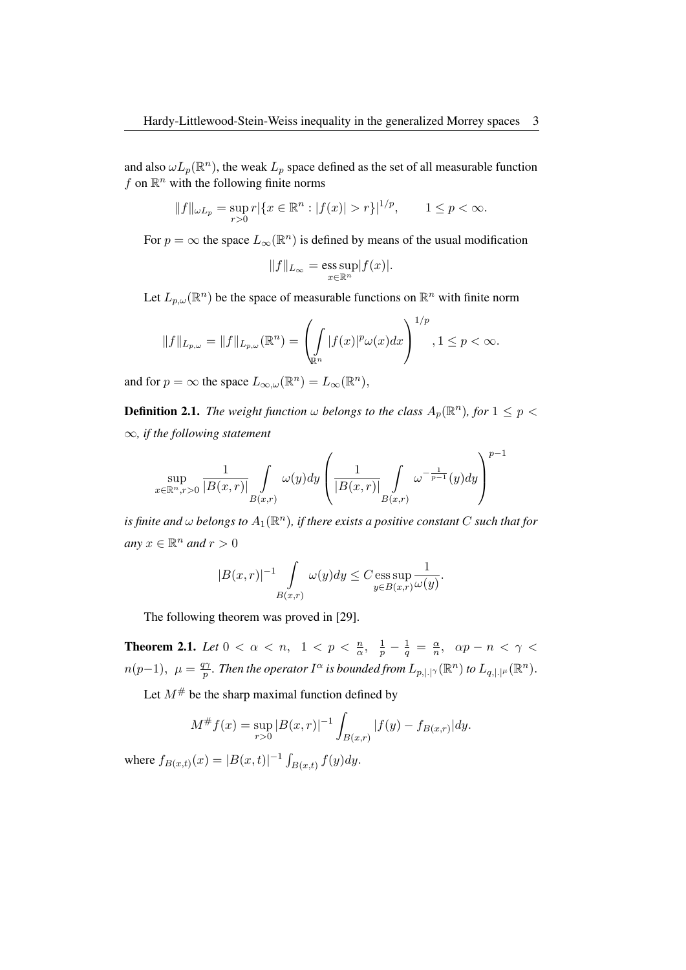and also  $\omega L_p(\mathbb{R}^n)$ , the weak  $L_p$  space defined as the set of all measurable function  $f$  on  $\mathbb{R}^n$  with the following finite norms

$$
||f||_{\omega L_p} = \sup_{r>0} r |\{x \in \mathbb{R}^n : |f(x)| > r\}|^{1/p}, \qquad 1 \le p < \infty.
$$

For  $p = \infty$  the space  $L_{\infty}(\mathbb{R}^n)$  is defined by means of the usual modification

$$
||f||_{L_{\infty}} = \operatorname*{ess\,sup}_{x \in \mathbb{R}^n} |f(x)|.
$$

Let  $L_{p,\omega}(\mathbb{R}^n)$  be the space of measurable functions on  $\mathbb{R}^n$  with finite norm

$$
||f||_{L_{p,\omega}} = ||f||_{L_{p,\omega}}(\mathbb{R}^n) = \left(\int_{\mathbb{R}^n} |f(x)|^p \omega(x) dx\right)^{1/p}, 1 \le p < \infty.
$$

and for  $p = \infty$  the space  $L_{\infty,\omega}(\mathbb{R}^n) = L_{\infty}(\mathbb{R}^n)$ ,

**Definition 2.1.** *The weight function*  $\omega$  *belongs to the class*  $A_p(\mathbb{R}^n)$ *, for*  $1 \leq p < \infty$ ∞*, if the following statement*

$$
\sup_{x \in \mathbb{R}^n, r>0} \frac{1}{|B(x,r)|} \int\limits_{B(x,r)} \omega(y) dy \left( \frac{1}{|B(x,r)|} \int\limits_{B(x,r)} \omega^{-\frac{1}{p-1}}(y) dy \right)^{p-1}
$$

is finite and  $\omega$  belongs to  $A_1(\mathbb{R}^n)$ , if there exists a positive constant  $C$  such that for  $any x \in \mathbb{R}^n$  *and*  $r > 0$ 

$$
|B(x,r)|^{-1} \int\limits_{B(x,r)} \omega(y) dy \leq C \operatorname{ess} \sup\limits_{y \in B(x,r)} \frac{1}{\omega(y)}.
$$

The following theorem was proved in [29].

**Theorem 2.1.** *Let*  $0 < \alpha < n$ ,  $1 < p < \frac{n}{\alpha}$ ,  $\frac{1}{p} - \frac{1}{q} = \frac{\alpha}{n}$  $\frac{\alpha}{n}$ ,  $\alpha p - n < \gamma <$  $n(p-1), \mu = \frac{q\gamma}{n}$  $\frac{d\gamma}{d\gamma}$  . Then the operator  $I^\alpha$  is bounded from  $L_{p,|.|^\gamma}(\R^n)$  to  $L_{q,|.|^\mu}(\R^n).$ 

Let  $M^{\#}$  be the sharp maximal function defined by

$$
M^{\#}f(x) = \sup_{r>0} |B(x,r)|^{-1} \int_{B(x,r)} |f(y) - f_{B(x,r)}| dy.
$$

where  $f_{B(x,t)}(x) = |B(x,t)|^{-1} \int_{B(x,t)} f(y) dy$ .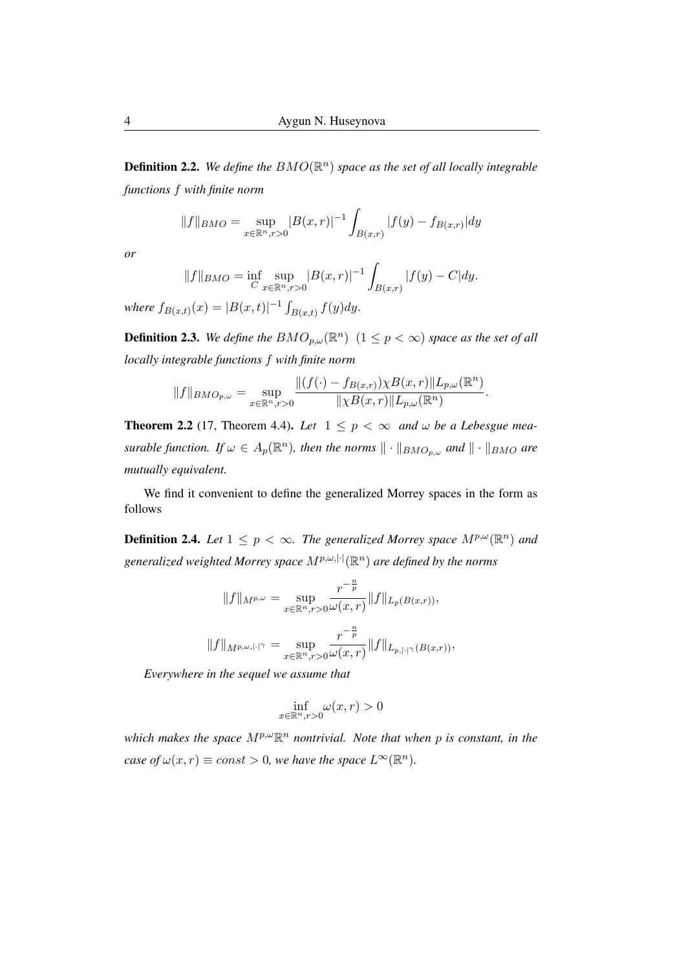**Definition 2.2.** We define the  $BMO(\mathbb{R}^n)$  space as the set of all locally integrable *functions* f *with finite norm*

$$
||f||_{BMO} = \sup_{x \in \mathbb{R}^n, r>0} |B(x,r)|^{-1} \int_{B(x,r)} |f(y) - f_{B(x,r)}| dy
$$

*or*

$$
||f||_{BMO} = \inf_{C} \sup_{x \in \mathbb{R}^n, r>0} |B(x,r)|^{-1} \int_{B(x,r)} |f(y) - C| dy.
$$

*where*  $f_{B(x,t)}(x) = |B(x,t)|^{-1} \int_{B(x,t)} f(y) dy$ .

**Definition 2.3.** We define the  $BMO_{p,\omega}(\mathbb{R}^n)$   $(1 \leq p < \infty)$  space as the set of all *locally integrable functions* f *with finite norm*

$$
||f||_{BMO_{p,\omega}} = \sup_{x \in \mathbb{R}^n, r > 0} \frac{\|(f(\cdot) - f_{B(x,r)})\chi B(x,r)\| L_{p,\omega}(\mathbb{R}^n)}{\|\chi B(x,r)\| L_{p,\omega}(\mathbb{R}^n)}.
$$

**Theorem 2.2** (17, Theorem 4.4). Let  $1 \leq p < \infty$  and  $\omega$  be a Lebesgue mea*surable function.* If  $\omega \in A_p(\mathbb{R}^n)$ , then the norms  $\|\cdot\|_{BMO_{p,\omega}}$  and  $\|\cdot\|_{BMO}$  are *mutually equivalent.*

We find it convenient to define the generalized Morrey spaces in the form as follows

**Definition 2.4.** Let  $1 \leq p < \infty$ . The generalized Morrey space  $M^{p,\omega}(\mathbb{R}^n)$  and *generalized weighted Morrey space* Mp,ω,|·|(R n ) *are defined by the norms*

$$
||f||_{M^{p,\omega}} = \sup_{x \in \mathbb{R}^n, r>0} \frac{r^{-\frac{n}{p}}}{\omega(x,r)} ||f||_{L_p(B(x,r))},
$$
  

$$
||f||_{M^{p,\omega,|\cdot|}} = \sup_{x \in \mathbb{R}^n, r>0} \frac{r^{-\frac{n}{p}}}{\omega(x,r)} ||f||_{L_{p,|\cdot|}}(B(x,r))
$$

*Everywhere in the sequel we assume that*

$$
\inf_{x \in \mathbb{R}^n, r > 0} \omega(x, r) > 0
$$

 $m$  *which makes the space*  $M^{p,\omega} \mathbb{R}^n$  *nontrivial. Note that when* p *is constant, in the case of*  $\omega(x, r) \equiv const > 0$ , we have the space  $L^{\infty}(\mathbb{R}^n)$ .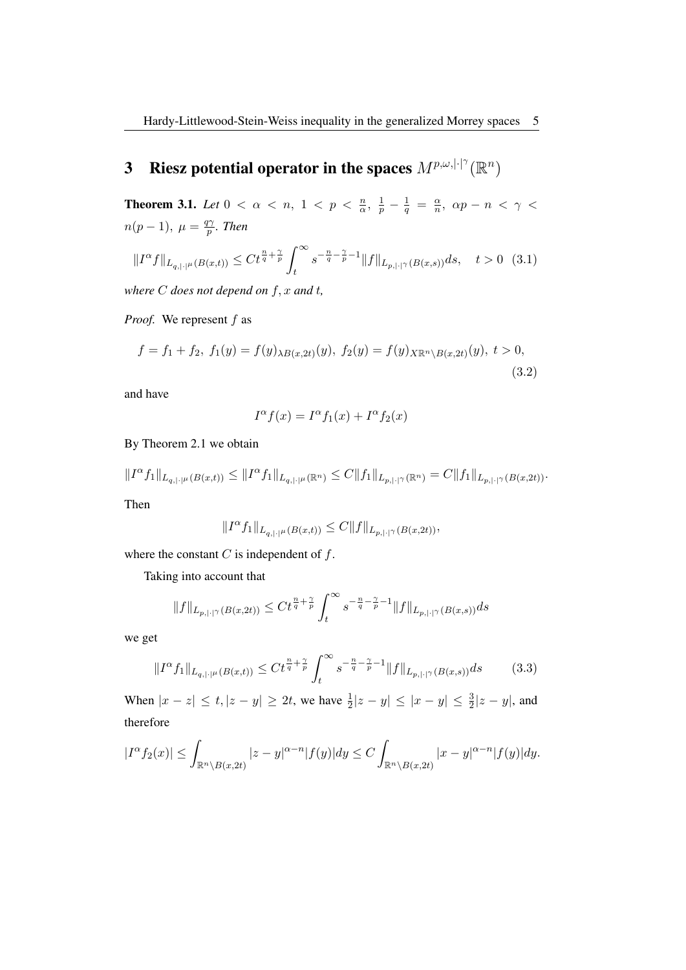## 3 Riesz potential operator in the spaces  $M^{p,\omega,|\cdot|^{\gamma}}(\mathbb{R}^n)$

**Theorem 3.1.** *Let*  $0 < \alpha < n$ ,  $1 < p < \frac{n}{\alpha}$ ,  $\frac{1}{p} - \frac{1}{q} = \frac{\alpha}{n}$  $\frac{\alpha}{n}$ ,  $\alpha p - n < \gamma <$  $n(p-1), \mu = \frac{q\gamma}{n}$ p *. Then*

$$
||I^{\alpha}f||_{L_{q,|\cdot|^\mu}(B(x,t))} \leq Ct^{\frac{n}{q}+\frac{\gamma}{p}} \int_t^\infty s^{-\frac{n}{q}-\frac{\gamma}{p}-1} ||f||_{L_{p,|\cdot|^\gamma}(B(x,s))} ds, \quad t>0 \quad (3.1)
$$

*where* C *does not depend on* f, x *and* t*,*

*Proof.* We represent f as

$$
f = f_1 + f_2, \ f_1(y) = f(y)_{\lambda B(x, 2t)}(y), \ f_2(y) = f(y)_{X \mathbb{R}^n \setminus B(x, 2t)}(y), \ t > 0,
$$
\n(3.2)

and have

$$
I^{\alpha}f(x) = I^{\alpha}f_1(x) + I^{\alpha}f_2(x)
$$

By Theorem 2.1 we obtain

 $||I^{\alpha}f_1||_{L_{q,|\cdot|^{(\mu)}}(B(x,t))} \leq ||I^{\alpha}f_1||_{L_{q,|\cdot|^{(\mu)}}(\mathbb{R}^n)} \leq C||f_1||_{L_{p,|\cdot|^{(\gamma)}}(\mathbb{R}^n)} = C||f_1||_{L_{p,|\cdot|^{(\gamma)}}(B(x,2t))}.$ 

Then

$$
||I^{\alpha}f_1||_{L_{q,|\cdot|^{ \mu}}(B(x,t))} \leq C||f||_{L_{p,|\cdot|^\gamma}(B(x,2t))},
$$

where the constant  $C$  is independent of  $f$ .

Taking into account that

$$
||f||_{L_{p,|\cdot|}\gamma(B(x,2t))} \leq Ct^{\frac{n}{q}+\frac{\gamma}{p}} \int_{t}^{\infty} s^{-\frac{n}{q}-\frac{\gamma}{p}-1} ||f||_{L_{p,|\cdot|}\gamma(B(x,s))} ds
$$

we get

$$
||I^{\alpha}f_1||_{L_{q,|\cdot|^\mu}(B(x,t))} \leq Ct^{\frac{n}{q} + \frac{\gamma}{p}} \int_t^{\infty} s^{-\frac{n}{q} - \frac{\gamma}{p} - 1} ||f||_{L_{p,|\cdot|^\gamma}(B(x,s))} ds \tag{3.3}
$$

When  $|x - z| \le t, |z - y| \ge 2t$ , we have  $\frac{1}{2}|z - y| \le |x - y| \le \frac{3}{2}|z - y|$ , and therefore

$$
|I^{\alpha}f_2(x)| \leq \int_{\mathbb{R}^n \setminus B(x,2t)} |z-y|^{\alpha-n} |f(y)| dy \leq C \int_{\mathbb{R}^n \setminus B(x,2t)} |x-y|^{\alpha-n} |f(y)| dy.
$$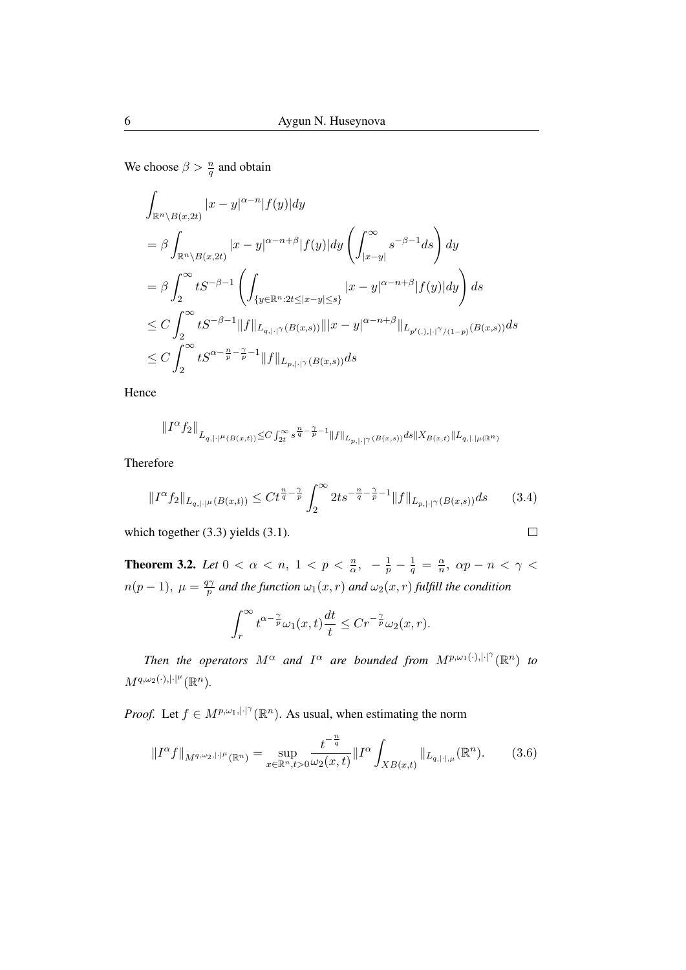We choose  $\beta > \frac{n}{q}$  and obtain

$$
\int_{\mathbb{R}^n \backslash B(x,2t)} |x-y|^{\alpha-n} |f(y)| dy
$$
\n
$$
= \beta \int_{\mathbb{R}^n \backslash B(x,2t)} |x-y|^{\alpha-n+\beta} |f(y)| dy \left( \int_{|x-y|}^{\infty} s^{-\beta-1} ds \right) dy
$$
\n
$$
= \beta \int_2^{\infty} t S^{-\beta-1} \left( \int_{\{y \in \mathbb{R}^n : 2t \le |x-y| \le s\}} |x-y|^{\alpha-n+\beta} |f(y)| dy \right) ds
$$
\n
$$
\le C \int_2^{\infty} t S^{-\beta-1} ||f||_{L_{q,|\cdot|} \gamma(B(x,s))} |||x-y|^{\alpha-n+\beta} ||_{L_{p'(\cdot),|\cdot|} \gamma/(1-p)} (B(x,s)) ds
$$
\n
$$
\le C \int_2^{\infty} t S^{\alpha-\frac{n}{p}-\frac{\gamma}{p}-1} ||f||_{L_{p,|\cdot|} \gamma(B(x,s))} ds
$$

Hence

$$
\| I^{\alpha} f_2 \|_{L_{q,|\cdot|^\mu(B(x,t))} \leq C \int_{2t}^\infty s^{\frac{n}{q}-\frac{\gamma}{p}-1} \|f\|_{L_{p,|\cdot|^\gamma}(B(x,s))} ds \| X_{B(x,t)}\|_{L_{q,|\cdot|^\mu(\mathbb{R}^n)}}
$$

Therefore

$$
||I^{\alpha}f_2||_{L_{q,|\cdot|^{\mu}}(B(x,t))} \leq Ct^{\frac{n}{q}-\frac{\gamma}{p}}\int_2^{\infty}2ts^{-\frac{n}{q}-\frac{\gamma}{p}-1}||f||_{L_{p,|\cdot|^{\gamma}}(B(x,s))}ds\qquad(3.4)
$$

 $\Box$ 

which together (3.3) yields (3.1).

**Theorem 3.2.** *Let*  $0 < \alpha < n$ ,  $1 < p < \frac{n}{\alpha}$ ,  $-\frac{1}{p} - \frac{1}{q} = \frac{\alpha}{n}$  $\frac{\alpha}{n}$ ,  $\alpha p - n < \gamma <$  $n(p-1), \mu = \frac{q\gamma}{n}$  $\frac{p\gamma}{p}$  and the function  $\omega_1(x,r)$  and  $\omega_2(x,r)$  fulfill the condition

$$
\int_r^{\infty} t^{\alpha - \frac{\gamma}{p}} \omega_1(x, t) \frac{dt}{t} \leq C r^{-\frac{\gamma}{p}} \omega_2(x, r).
$$

*Then the operators*  $M^{\alpha}$  *and*  $I^{\alpha}$  *are bounded from*  $M^{p,\omega_1(\cdot),|\cdot|^{\gamma}}(\mathbb{R}^n)$  *to*  $M^{q,\omega_2(\cdot),|\cdot|^\mu}(\mathbb{R}^n)$ .

*Proof.* Let  $f \in M^{p,\omega_1,|\cdot|^\gamma}(\mathbb{R}^n)$ . As usual, when estimating the norm

$$
||I^{\alpha}f||_{M^{q,\omega_2,|\cdot|^\mu}(\mathbb{R}^n)} = \sup_{x \in \mathbb{R}^n, t > 0} \frac{t^{-\frac{n}{q}}}{\omega_2(x,t)} ||I^{\alpha} \int_{XB(x,t)} ||_{L_{q,|\cdot|,\mu}}(\mathbb{R}^n). \tag{3.6}
$$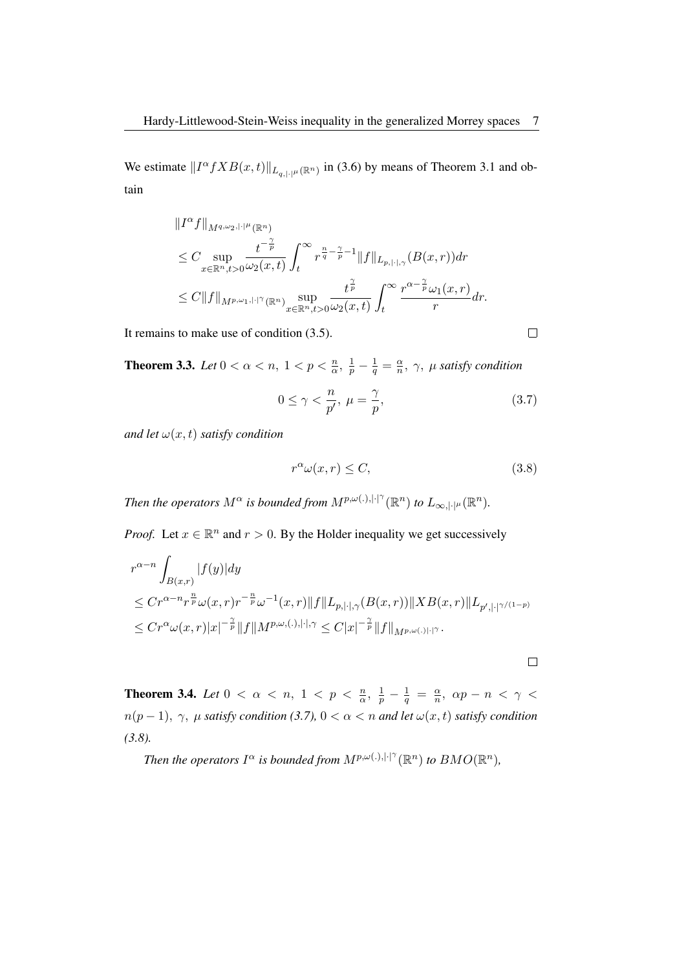We estimate  $||I^{\alpha} f X B(x,t)||_{L_{q,|\cdot|^{\mu}}(\mathbb{R}^n)}$  in (3.6) by means of Theorem 3.1 and obtain

$$
\label{eq:20} \begin{split} &\|I^{\alpha}f\|_{M^{q,\omega_2,\|\cdot|^\mu}(\mathbb{R}^n)}\\ &\leq C\sup_{x\in\mathbb{R}^n,t>0}\frac{t^{-\frac{\gamma}{p}}}{\omega_2(x,t)}\int_t^\infty r^{\frac{n}{q}-\frac{\gamma}{p}-1}\|f\|_{L_{p,\|\cdot\|,\gamma}}(B(x,r))dr\\ &\leq C\|f\|_{M^{p,\omega_1,\|\cdot|^\gamma}(\mathbb{R}^n)}\sup_{x\in\mathbb{R}^n,t>0}\frac{t^{\frac{\gamma}{p}}}{\omega_2(x,t)}\int_t^\infty \frac{r^{\alpha-\frac{\gamma}{p}}\omega_1(x,r)}{r}dr. \end{split}
$$

It remains to make use of condition (3.5).

**Theorem 3.3.** *Let*  $0 < \alpha < n$ ,  $1 < p < \frac{n}{\alpha}$ ,  $\frac{1}{p} - \frac{1}{q} = \frac{\alpha}{n}$  $\frac{\alpha}{n}$ ,  $\gamma$ ,  $\mu$  satisfy condition

$$
0 \le \gamma < \frac{n}{p'}, \ \mu = \frac{\gamma}{p},\tag{3.7}
$$

*and let*  $\omega(x, t)$  *satisfy condition* 

$$
r^{\alpha}\omega(x,r) \le C,\tag{3.8}
$$

*Then the operators*  $M^{\alpha}$  *is bounded from*  $M^{p,\omega(.),|\cdot|^{\gamma}}(\mathbb{R}^n)$  *to*  $L_{\infty,|\cdot|^{\mu}}(\mathbb{R}^n)$ *.* 

*Proof.* Let  $x \in \mathbb{R}^n$  and  $r > 0$ . By the Holder inequality we get successively

$$
r^{\alpha-n} \int_{B(x,r)} |f(y)| dy
$$
  
\n
$$
\leq C r^{\alpha-n} r^{\frac{n}{p}} \omega(x,r) r^{-\frac{n}{p}} \omega^{-1}(x,r) \|f\|_{L_{p,|\cdot|,\gamma}} (B(x,r)) \|XB(x,r)\|_{L_{p',|\cdot|}(\gamma/(1-p))}
$$
  
\n
$$
\leq C r^{\alpha} \omega(x,r) |x|^{-\frac{\gamma}{p}} \|f\|_{M^{p,\omega,(.)|\cdot|,\gamma}} \leq C |x|^{-\frac{\gamma}{p}} \|f\|_{M^{p,\omega(.)|\cdot|\gamma}}.
$$

**Theorem 3.4.** *Let*  $0 < \alpha < n$ ,  $1 < p < \frac{n}{\alpha}$ ,  $\frac{1}{p} - \frac{1}{q} = \frac{\alpha}{n}$  $\frac{\alpha}{n}$ ,  $\alpha p - n < \gamma <$  $n(p-1), \gamma, \mu$  *satisfy condition (3.7),*  $0 < \alpha < n$  *and let*  $\omega(x, t)$  *satisfy condition (3.8).*

*Then the operators*  $I^{\alpha}$  *is bounded from*  $M^{p,\omega(.),|\cdot|^{\gamma}}(\mathbb{R}^n)$  *to*  $BMO(\mathbb{R}^n)$ *,* 

 $\Box$ 

 $\Box$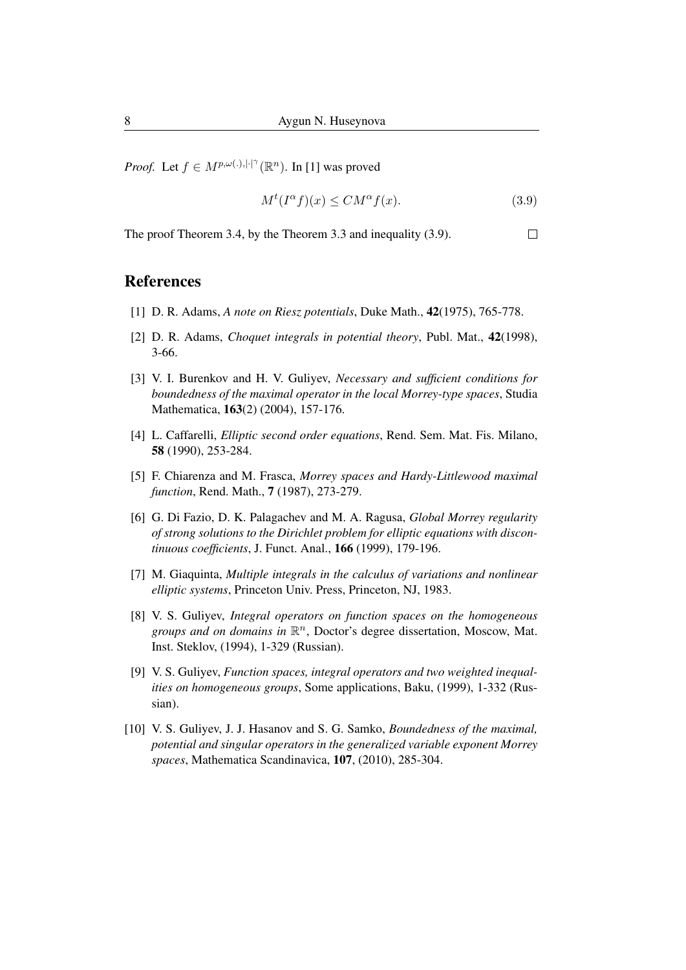*Proof.* Let  $f \in M^{p,\omega(.),|\cdot|^\gamma}(\mathbb{R}^n)$ . In [1] was proved

$$
M^t(I^{\alpha}f)(x) \le CM^{\alpha}f(x). \tag{3.9}
$$

The proof Theorem 3.4, by the Theorem 3.3 and inequality (3.9).  $\Box$ 

#### References

- [1] D. R. Adams, *A note on Riesz potentials*, Duke Math., 42(1975), 765-778.
- [2] D. R. Adams, *Choquet integrals in potential theory*, Publ. Mat., 42(1998), 3-66.
- [3] V. I. Burenkov and H. V. Guliyev, *Necessary and sufficient conditions for boundedness of the maximal operator in the local Morrey-type spaces*, Studia Mathematica, 163(2) (2004), 157-176.
- [4] L. Caffarelli, *Elliptic second order equations*, Rend. Sem. Mat. Fis. Milano, 58 (1990), 253-284.
- [5] F. Chiarenza and M. Frasca, *Morrey spaces and Hardy-Littlewood maximal function*, Rend. Math., 7 (1987), 273-279.
- [6] G. Di Fazio, D. K. Palagachev and M. A. Ragusa, *Global Morrey regularity of strong solutions to the Dirichlet problem for elliptic equations with discontinuous coefficients*, J. Funct. Anal., 166 (1999), 179-196.
- [7] M. Giaquinta, *Multiple integrals in the calculus of variations and nonlinear elliptic systems*, Princeton Univ. Press, Princeton, NJ, 1983.
- [8] V. S. Guliyev, *Integral operators on function spaces on the homogeneous* groups and on domains in  $\mathbb{R}^n$ , Doctor's degree dissertation, Moscow, Mat. Inst. Steklov, (1994), 1-329 (Russian).
- [9] V. S. Guliyev, *Function spaces, integral operators and two weighted inequalities on homogeneous groups*, Some applications, Baku, (1999), 1-332 (Russian).
- [10] V. S. Guliyev, J. J. Hasanov and S. G. Samko, *Boundedness of the maximal, potential and singular operators in the generalized variable exponent Morrey spaces*, Mathematica Scandinavica, 107, (2010), 285-304.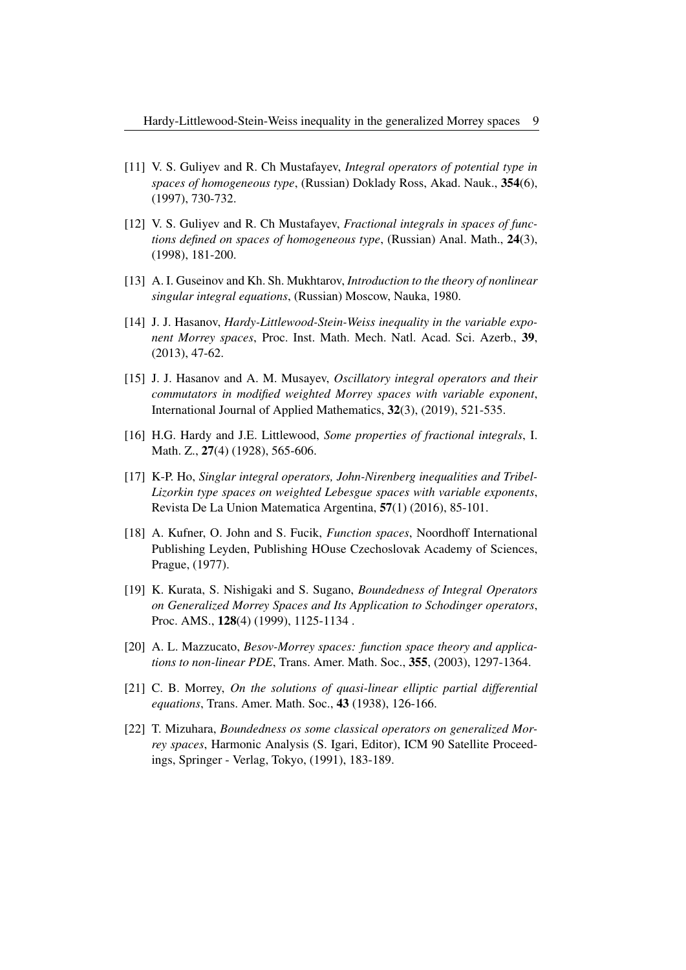- [11] V. S. Guliyev and R. Ch Mustafayev, *Integral operators of potential type in spaces of homogeneous type*, (Russian) Doklady Ross, Akad. Nauk., 354(6), (1997), 730-732.
- [12] V. S. Guliyev and R. Ch Mustafayev, *Fractional integrals in spaces of functions defined on spaces of homogeneous type*, (Russian) Anal. Math., 24(3), (1998), 181-200.
- [13] A. I. Guseinov and Kh. Sh. Mukhtarov, *Introduction to the theory of nonlinear singular integral equations*, (Russian) Moscow, Nauka, 1980.
- [14] J. J. Hasanov, *Hardy-Littlewood-Stein-Weiss inequality in the variable exponent Morrey spaces*, Proc. Inst. Math. Mech. Natl. Acad. Sci. Azerb., 39, (2013), 47-62.
- [15] J. J. Hasanov and A. M. Musayev, *Oscillatory integral operators and their commutators in modified weighted Morrey spaces with variable exponent*, International Journal of Applied Mathematics, 32(3), (2019), 521-535.
- [16] H.G. Hardy and J.E. Littlewood, *Some properties of fractional integrals*, I. Math. Z., 27(4) (1928), 565-606.
- [17] K-P. Ho, *Singlar integral operators, John-Nirenberg inequalities and Tribel-Lizorkin type spaces on weighted Lebesgue spaces with variable exponents*, Revista De La Union Matematica Argentina, 57(1) (2016), 85-101.
- [18] A. Kufner, O. John and S. Fucik, *Function spaces*, Noordhoff International Publishing Leyden, Publishing HOuse Czechoslovak Academy of Sciences, Prague, (1977).
- [19] K. Kurata, S. Nishigaki and S. Sugano, *Boundedness of Integral Operators on Generalized Morrey Spaces and Its Application to Schodinger operators*, Proc. AMS., 128(4) (1999), 1125-1134 .
- [20] A. L. Mazzucato, *Besov-Morrey spaces: function space theory and applications to non-linear PDE*, Trans. Amer. Math. Soc., 355, (2003), 1297-1364.
- [21] C. B. Morrey, *On the solutions of quasi-linear elliptic partial differential equations*, Trans. Amer. Math. Soc., 43 (1938), 126-166.
- [22] T. Mizuhara, *Boundedness os some classical operators on generalized Morrey spaces*, Harmonic Analysis (S. Igari, Editor), ICM 90 Satellite Proceedings, Springer - Verlag, Tokyo, (1991), 183-189.